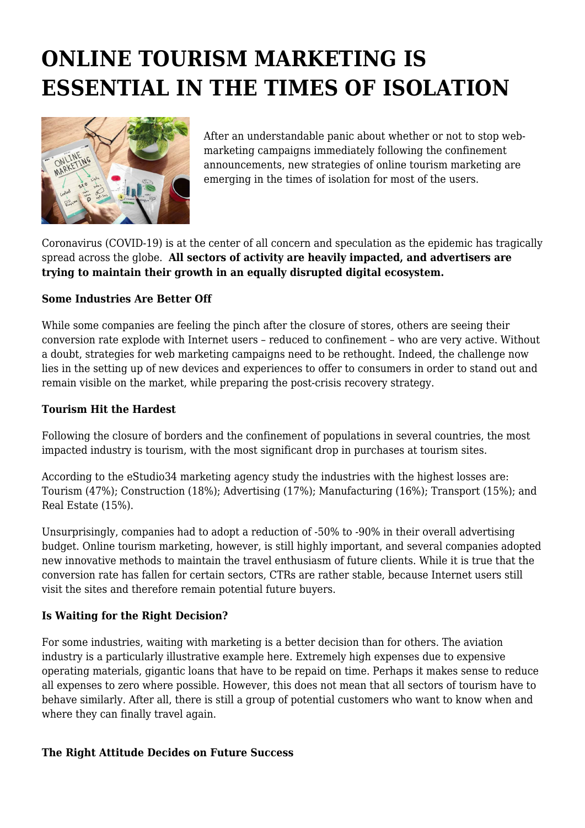# **ONLINE TOURISM MARKETING IS ESSENTIAL IN THE TIMES OF ISOLATION**



After an understandable panic about whether or not to stop webmarketing campaigns immediately following the confinement announcements, new strategies of online tourism marketing are emerging in the times of isolation for most of the users.

Coronavirus (COVID-19) is at the center of all concern and speculation as the epidemic has tragically spread across the globe. **All sectors of activity are heavily impacted, and advertisers are trying to maintain their growth in an equally disrupted digital ecosystem.**

### **Some Industries Are Better Off**

While some companies are feeling the pinch after the closure of stores, others are seeing their conversion rate explode with Internet users – reduced to confinement – who are very active. Without a doubt, strategies for web marketing campaigns need to be rethought. Indeed, the challenge now lies in the setting up of new devices and experiences to offer to consumers in order to stand out and remain visible on the market, while preparing the post-crisis recovery strategy.

#### **Tourism Hit the Hardest**

Following the closure of borders and the confinement of populations in several countries, the most impacted industry is tourism, with the most significant drop in purchases at tourism sites.

According to the eStudio34 marketing agency study the industries with the highest losses are: Tourism (47%); Construction (18%); Advertising (17%); Manufacturing (16%); Transport (15%); and Real Estate (15%).

Unsurprisingly, companies had to adopt a reduction of -50% to -90% in their overall advertising budget. Online tourism marketing, however, is still highly important, and several companies adopted new innovative methods to maintain the travel enthusiasm of future clients. While it is true that the conversion rate has fallen for certain sectors, CTRs are rather stable, because Internet users still visit the sites and therefore remain potential future buyers.

#### **Is Waiting for the Right Decision?**

For some industries, waiting with marketing is a better decision than for others. The aviation industry is a particularly illustrative example here. Extremely high expenses due to expensive operating materials, gigantic loans that have to be repaid on time. Perhaps it makes sense to reduce all expenses to zero where possible. However, this does not mean that all sectors of tourism have to behave similarly. After all, there is still a group of potential customers who want to know when and where they can finally travel again.

#### **The Right Attitude Decides on Future Success**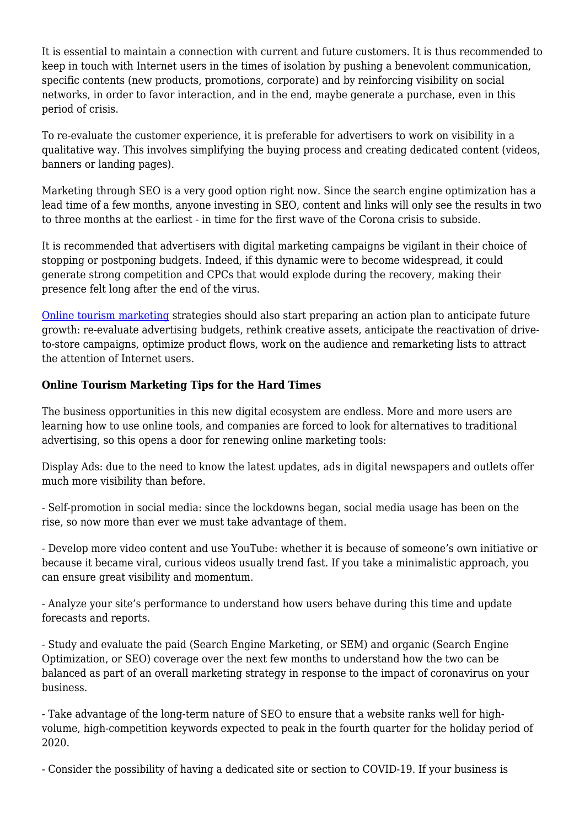It is essential to maintain a connection with current and future customers. It is thus recommended to keep in touch with Internet users in the times of isolation by pushing a benevolent communication, specific contents (new products, promotions, corporate) and by reinforcing visibility on social networks, in order to favor interaction, and in the end, maybe generate a purchase, even in this period of crisis.

To re-evaluate the customer experience, it is preferable for advertisers to work on visibility in a qualitative way. This involves simplifying the buying process and creating dedicated content (videos, banners or landing pages).

Marketing through SEO is a very good option right now. Since the search engine optimization has a lead time of a few months, anyone investing in SEO, content and links will only see the results in two to three months at the earliest - in time for the first wave of the Corona crisis to subside.

It is recommended that advertisers with digital marketing campaigns be vigilant in their choice of stopping or postponing budgets. Indeed, if this dynamic were to become widespread, it could generate strong competition and CPCs that would explode during the recovery, making their presence felt long after the end of the virus.

[Online tourism marketing](https://www.tourism-review.com/online-publicity-for-travel-and-hospitality-page1300) strategies should also start preparing an action plan to anticipate future growth: re-evaluate advertising budgets, rethink creative assets, anticipate the reactivation of driveto-store campaigns, optimize product flows, work on the audience and remarketing lists to attract the attention of Internet users.

## **Online Tourism Marketing Tips for the Hard Times**

The business opportunities in this new digital ecosystem are endless. More and more users are learning how to use online tools, and companies are forced to look for alternatives to traditional advertising, so this opens a door for renewing online marketing tools:

Display Ads: due to the need to know the latest updates, ads in digital newspapers and outlets offer much more visibility than before.

- Self-promotion in social media: since the lockdowns began, social media usage has been on the rise, so now more than ever we must take advantage of them.

- Develop more video content and use YouTube: whether it is because of someone's own initiative or because it became viral, curious videos usually trend fast. If you take a minimalistic approach, you can ensure great visibility and momentum.

- Analyze your site's performance to understand how users behave during this time and update forecasts and reports.

- Study and evaluate the paid (Search Engine Marketing, or SEM) and organic (Search Engine Optimization, or SEO) coverage over the next few months to understand how the two can be balanced as part of an overall marketing strategy in response to the impact of coronavirus on your business.

- Take advantage of the long-term nature of SEO to ensure that a website ranks well for highvolume, high-competition keywords expected to peak in the fourth quarter for the holiday period of 2020.

- Consider the possibility of having a dedicated site or section to COVID-19. If your business is